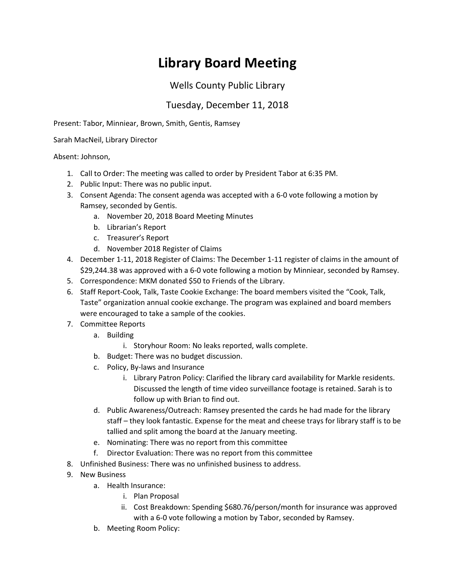## **Library Board Meeting**

## Wells County Public Library

## Tuesday, December 11, 2018

Present: Tabor, Minniear, Brown, Smith, Gentis, Ramsey

Sarah MacNeil, Library Director

Absent: Johnson,

- 1. Call to Order: The meeting was called to order by President Tabor at 6:35 PM.
- 2. Public Input: There was no public input.
- 3. Consent Agenda: The consent agenda was accepted with a 6-0 vote following a motion by Ramsey, seconded by Gentis.
	- a. November 20, 2018 Board Meeting Minutes
	- b. Librarian's Report
	- c. Treasurer's Report
	- d. November 2018 Register of Claims
- 4. December 1-11, 2018 Register of Claims: The December 1-11 register of claims in the amount of \$29,244.38 was approved with a 6-0 vote following a motion by Minniear, seconded by Ramsey.
- 5. Correspondence: MKM donated \$50 to Friends of the Library.
- 6. Staff Report-Cook, Talk, Taste Cookie Exchange: The board members visited the "Cook, Talk, Taste" organization annual cookie exchange. The program was explained and board members were encouraged to take a sample of the cookies.
- 7. Committee Reports
	- a. Building
		- i. Storyhour Room: No leaks reported, walls complete.
	- b. Budget: There was no budget discussion.
	- c. Policy, By-laws and Insurance
		- i. Library Patron Policy: Clarified the library card availability for Markle residents. Discussed the length of time video surveillance footage is retained. Sarah is to follow up with Brian to find out.
	- d. Public Awareness/Outreach: Ramsey presented the cards he had made for the library staff – they look fantastic. Expense for the meat and cheese trays for library staff is to be tallied and split among the board at the January meeting.
	- e. Nominating: There was no report from this committee
	- f. Director Evaluation: There was no report from this committee
- 8. Unfinished Business: There was no unfinished business to address.
- 9. New Business
	- a. Health Insurance:
		- i. Plan Proposal
		- ii. Cost Breakdown: Spending \$680.76/person/month for insurance was approved with a 6-0 vote following a motion by Tabor, seconded by Ramsey.
	- b. Meeting Room Policy: